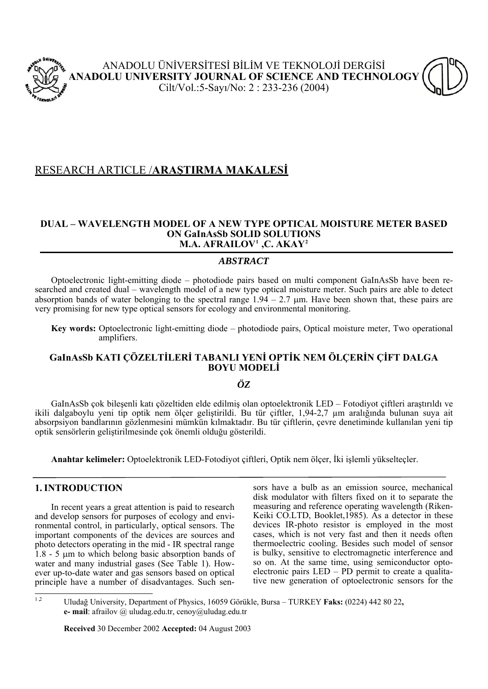

# RESEARCH ARTICLE /**ARAŞTIRMA MAKALESİ**

### **DUAL – WAVELENGTH MODEL OF A NEW TYPE OPTICAL MOISTURE METER BASED ON GaInAsSb SOLID SOLUTIONS M.A. AFRAILOV[1](#page-0-0) ,C. AKAY[2](#page-0-1)**

## *ABSTRACT*

Optoelectronic light-emitting diode – photodiode pairs based on multi component GaInAsSb have been researched and created dual – wavelength model of a new type optical moisture meter. Such pairs are able to detect absorption bands of water belonging to the spectral range  $1.94 - 2.7$  µm. Have been shown that, these pairs are very promising for new type optical sensors for ecology and environmental monitoring.

**Key words:** Optoelectronic light-emitting diode – photodiode pairs, Optical moisture meter, Two operational amplifiers.

# **GaInAsSb KATI ÇÖZELTİLERİ TABANLI YENİ OPTİK NEM ÖLÇERİN ÇİFT DALGA BOYU MODELİ**

## *ÖZ*

 GaInAsSb çok bileşenli katı çözeltiden elde edilmiş olan optoelektronik LED – Fotodiyot çiftleri araştırıldı ve ikili dalgaboylu yeni tip optik nem ölçer geliştirildi. Bu tür çiftler, 1,94-2,7 µm aralığında bulunan suya ait absorpsiyon bandlarının gözlenmesini mümkün kılmaktadır. Bu tür çiftlerin, çevre denetiminde kullanılan yeni tip optik sensörlerin geliştirilmesinde çok önemli olduğu gösterildi.

**Anahtar kelimeler:** Optoelektronik LED-Fotodiyot çiftleri, Optik nem ölçer, İki işlemli yükselteçler.

## **1. INTRODUCTION**

 In recent years a great attention is paid to research and develop sensors for purposes of ecology and environmental control, in particularly, optical sensors. The important components of the devices are sources and photo detectors operating in the mid - IR spectral range 1.8 - 5 μm to which belong basic absorption bands of water and many industrial gases (See Table 1). However up-to-date water and gas sensors based on optical principle have a number of disadvantages. Such sensors have a bulb as an emission source, mechanical disk modulator with filters fixed on it to separate the measuring and reference operating wavelength (Riken-Keiki CO.LTD, Booklet,1985). As a detector in these devices IR-photo resistor is employed in the most cases, which is not very fast and then it needs often thermoelectric cooling. Besides such model of sensor is bulky, sensitive to electromagnetic interference and so on. At the same time, using semiconductor optoelectronic pairs LED – PD permit to create a qualitative new generation of optoelectronic sensors for the

 **Received** 30 December 2002 **Accepted:** 04 August 2003

<span id="page-0-1"></span><span id="page-0-0"></span> $12$ <sup>1</sup> ,2 Uludağ University, Department of Physics, 16059 Görükle, Bursa – TURKEY **Faks:** (0224) 442 80 22**, e- mail**: afrailov @ uludag.edu.tr, cenoy@uludag.edu.tr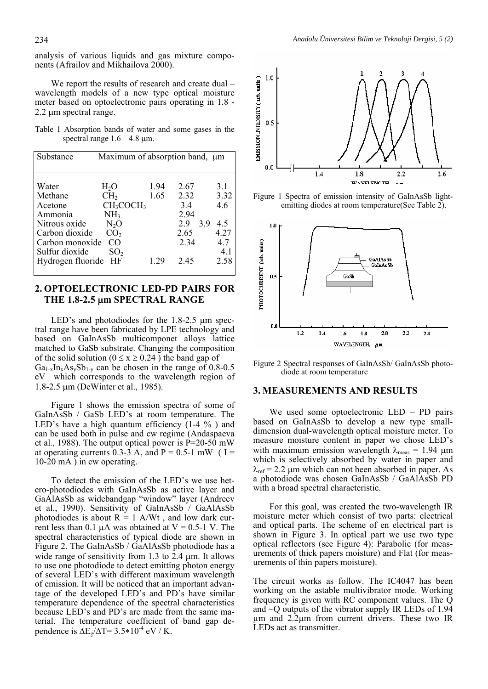analysis of various liquids and gas mixture components (Afrailov and Mikhailova 2000).

We report the results of research and create dual – wavelength models of a new type optical moisture meter based on optoelectronic pairs operating in 1.8 - 2.2 μm spectral range.

Table 1 Absorption bands of water and some gases in the spectral range  $1.6 - 4.8 \mu m$ .

| Substance                                                                                                                           | Maximum of absorption band, μm                                                                                                                 |                      |                                                          |                                                                |
|-------------------------------------------------------------------------------------------------------------------------------------|------------------------------------------------------------------------------------------------------------------------------------------------|----------------------|----------------------------------------------------------|----------------------------------------------------------------|
| Water<br>Methane<br>Acetone<br>Ammonia<br>Nitrous oxide<br>Carbon dioxide<br>Carbon monoxide<br>Sulfur dioxide<br>Hydrogen fluoride | $H_2O$<br>CH <sub>2</sub><br>CH <sub>3</sub> COCH <sub>3</sub><br>NH <sub>3</sub><br>$N_2O$<br>CO <sub>2</sub><br>CO.<br>SO <sub>2</sub><br>ΗF | 1.94<br>1.65<br>1 29 | 2.67<br>2.32<br>3.4<br>2.94<br>29<br>2.65<br>2.34<br>245 | 3.1<br>3.32<br>4.6<br>3.9<br>4.5<br>4.27<br>4.7<br>4.1<br>2.58 |

#### **2. OPTOELECTRONIC LED-PD PAIRS FOR THE 1.8-2.5** μ**m SPECTRAL RANGE**

LED's and photodiodes for the 1.8-2.5 μm spectral range have been fabricated by LPE technology and based on GaInAsSb multicomponet alloys lattice matched to GaSb substrate. Changing the composition of the solid solution ( $0 \le x \ge 0.24$ ) the band gap of  $Ga_{1-x}In_xAs_vSb_{1-y}$  can be chosen in the range of 0.8-0.5 eV which corresponds to the wavelength region of 1.8-2.5 μm (DeWinter et al., 1985).

 Figure 1 shows the emission spectra of some of GaInAsSb / GaSb LED's at room temperature. The LED's have a high quantum efficiency (1-4 % ) and can be used both in pulse and cw regime (Andaspaeva et al., 1988). The output optical power is  $P=20-50$  mW at operating currents  $0.3\n-3$  A, and P = 0.5-1 mW (I =  $10\text{-}20 \text{ mA}$ ) in cw operating.

 To detect the emission of the LED's we use hetero-photodiodes with GaInAsSb as active layer and GaAlAsSb as widebandgap "window" layer (Andreev et al., 1990). Sensitivity of GaInAsSb / GaAlAsSb photodiodes is about  $R = 1$  A/Wt, and low dark current less than 0.1 μA was obtained at  $V = 0.5$ -1 V. The spectral characteristics of typical diode are shown in Figure 2. The GaInAsSb / GaAlAsSb photodiode has a wide range of sensitivity from 1.3 to 2.4 μm. It allows to use one photodiode to detect emitting photon energy of several LED's with different maximum wavelength of emission. It will be noticed that an important advantage of the developed LED's and PD's have similar temperature dependence of the spectral characteristics because LED's and PD's are made from the same material. The temperature coefficient of band gap dependence is  $\Delta E_g / \Delta T = 3.5 * 10^{-4}$  eV / K.



Figure 1 Spectra of emission intensity of GaInAsSb lightemitting diodes at room temperature(See Table 2).



Figure 2 Spectral responses of GaInAsSb/ GaInAsSb photodiode at room temperature

#### **3. MEASUREMENTS AND RESULTS**

We used some optoelectronic LED – PD pairs based on GaInAsSb to develop a new type smalldimension dual-wavelength optical moisture meter. To measure moisture content in paper we chose LED's with maximum emission wavelength  $\lambda_{\text{meas}} = 1.94 \mu m$ which is selectively absorbed by water in paper and  $\lambda_{\text{ref}}$  = 2.2 µm which can not been absorbed in paper. As a photodiode was chosen GaInAsSb / GaAlAsSb PD with a broad spectral characteristic.

 For this goal, was created the two-wavelength IR moisture meter which consist of two parts: electrical and optical parts. The scheme of en electrical part is shown in Figure 3. In optical part we use two type optical reflectors (see Figure 4): Parabolic (for measurements of thick papers moisture) and Flat (for measurements of thin papers moisture).

The circuit works as follow. The IC4047 has been working on the astable multivibrator mode. Working frequency is given with RC component values. The Q and  $\sim$ Q outputs of the vibrator supply IR LEDs of 1.94 µm and 2.2µm from current drivers. These two IR LEDs act as transmitter.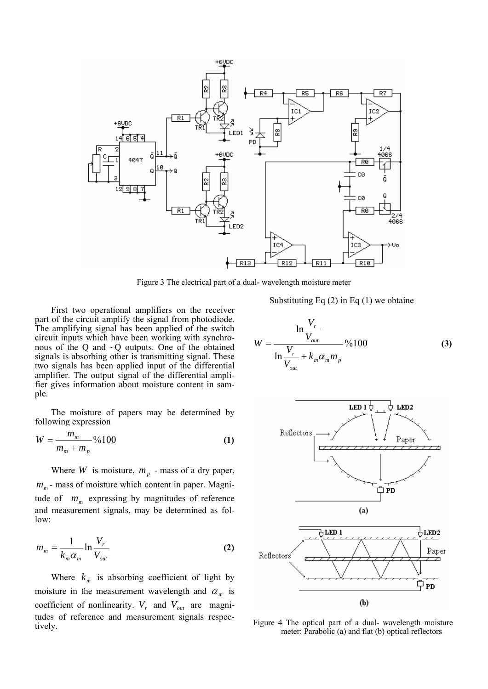

Figure 3 The electrical part of a dual- wavelength moisture meter

 First two operational amplifiers on the receiver part of the circuit amplify the signal from photodiode. The amplifying signal has been applied of the switch circuit inputs which have been working with synchronous of the Q and ~Q outputs. One of the obtained signals is absorbing other is transmitting signal. These two signals has been applied input of the differential amplifier. The output signal of the differential amplifier gives information about moisture content in sample.

 The moisture of papers may be determined by following expression

$$
W = \frac{m_m}{m_m + m_p} \% 100
$$
 (1)

Where *W* is moisture,  $m_p$  - mass of a dry paper,  $m_m$ - mass of moisture which content in paper. Magnitude of  $m_m$  expressing by magnitudes of reference and measurement signals, may be determined as follow:

$$
m_m = \frac{1}{k_m \alpha_m} \ln \frac{V_r}{V_{out}}
$$
 (2)

Where  $k_m$  is absorbing coefficient of light by moisture in the measurement wavelength and  $\alpha_m$  is coefficient of nonlinearity.  $V_r$  and  $V_{out}$  are magnitudes of reference and measurement signals respectively.

Substituting Eq  $(2)$  in Eq  $(1)$  we obtaine

$$
W = \frac{\ln \frac{V_r}{V_{out}}}{\ln \frac{V_r}{V_{out}} + k_m \alpha_m m_p} \% 100
$$
 (3)



Figure 4 The optical part of a dual- wavelength moisture meter: Parabolic (a) and flat (b) optical reflectors